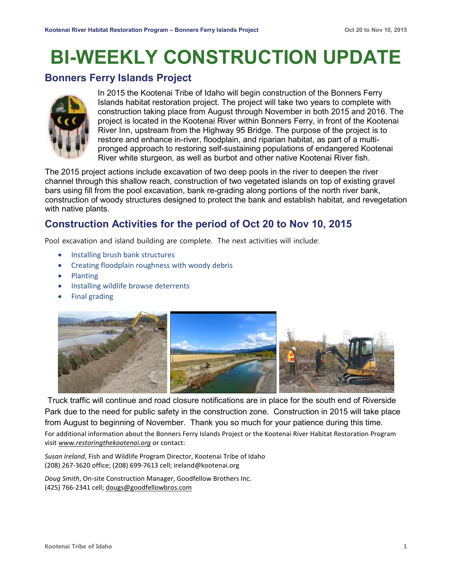# **BI-WEEKLY CONSTRUCTION UPDATE**

### **Bonners Ferry Islands Project**



In 2015 the Kootenai Tribe of Idaho will begin construction of the Bonners Ferry Islands habitat restoration project. The project will take two years to complete with construction taking place from August through November in both 2015 and 2016. The project is located in the Kootenai River within Bonners Ferry, in front of the Kootenai River Inn, upstream from the Highway 95 Bridge. The purpose of the project is to restore and enhance in-river, floodplain, and riparian habitat, as part of a multipronged approach to restoring self-sustaining populations of endangered Kootenai River white sturgeon, as well as burbot and other native Kootenai River fish.

The 2015 project actions include excavation of two deep pools in the river to deepen the river channel through this shallow reach, construction of two vegetated islands on top of existing gravel bars using fill from the pool excavation, bank re-grading along portions of the north river bank, construction of woody structures designed to protect the bank and establish habitat, and revegetation with native plants.

## **Construction Activities for the period of Oct 20 to Nov 10, 2015**

Pool excavation and island building are complete. The next activities will include:

- Installing brush bank structures
- Creating floodplain roughness with woody debris
- **Planting**
- Installing wildlife browse deterrents
- Final grading



Truck traffic will continue and road closure notifications are in place for the south end of Riverside Park due to the need for public safety in the construction zone. Construction in 2015 will take place from August to beginning of November. Thank you so much for your patience during this time. For additional information about the Bonners Ferry Islands Project or the Kootenai River Habitat Restoration Program visit *www.restoringthekootenai.org* or contact:

*Susan Ireland*, Fish and Wildlife Program Director, Kootenai Tribe of Idaho (208) 267-3620 office; (208) 699-7613 cell; ireland@kootenai.org

*Doug Smith*, On-site Construction Manager, Goodfellow Brothers Inc. (425) 766-2341 cell; dougs@goodfellowbros.com